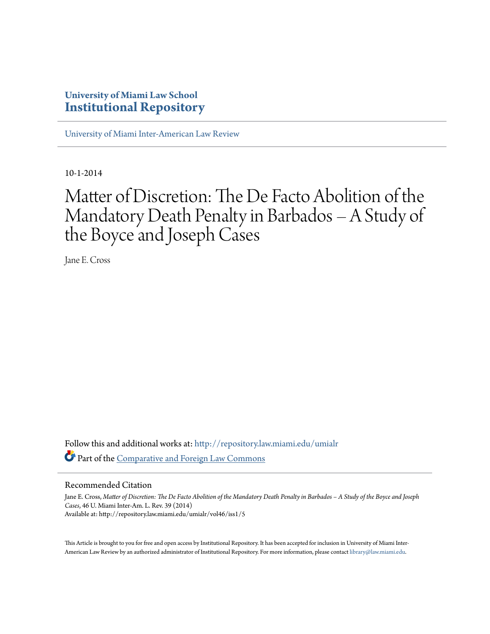# **University of Miami Law School [Institutional Repository](http://repository.law.miami.edu?utm_source=repository.law.miami.edu%2Fumialr%2Fvol46%2Fiss1%2F5&utm_medium=PDF&utm_campaign=PDFCoverPages)**

[University of Miami Inter-American Law Review](http://repository.law.miami.edu/umialr?utm_source=repository.law.miami.edu%2Fumialr%2Fvol46%2Fiss1%2F5&utm_medium=PDF&utm_campaign=PDFCoverPages)

10-1-2014

# Matter of Discretion: The De Facto Abolition of the Mandatory Death Penalty in Barbados – A Study of the Boyce and Joseph Cases

Jane E. Cross

Follow this and additional works at: [http://repository.law.miami.edu/umialr](http://repository.law.miami.edu/umialr?utm_source=repository.law.miami.edu%2Fumialr%2Fvol46%2Fiss1%2F5&utm_medium=PDF&utm_campaign=PDFCoverPages) Part of the [Comparative and Foreign Law Commons](http://network.bepress.com/hgg/discipline/836?utm_source=repository.law.miami.edu%2Fumialr%2Fvol46%2Fiss1%2F5&utm_medium=PDF&utm_campaign=PDFCoverPages)

#### Recommended Citation

Jane E. Cross, *Matter of Discretion: The De Facto Abolition of the Mandatory Death Penalty in Barbados – A Study of the Boyce and Joseph Cases*, 46 U. Miami Inter-Am. L. Rev. 39 (2014) Available at: http://repository.law.miami.edu/umialr/vol46/iss1/5

This Article is brought to you for free and open access by Institutional Repository. It has been accepted for inclusion in University of Miami Inter-American Law Review by an authorized administrator of Institutional Repository. For more information, please contact [library@law.miami.edu](mailto:library@law.miami.edu).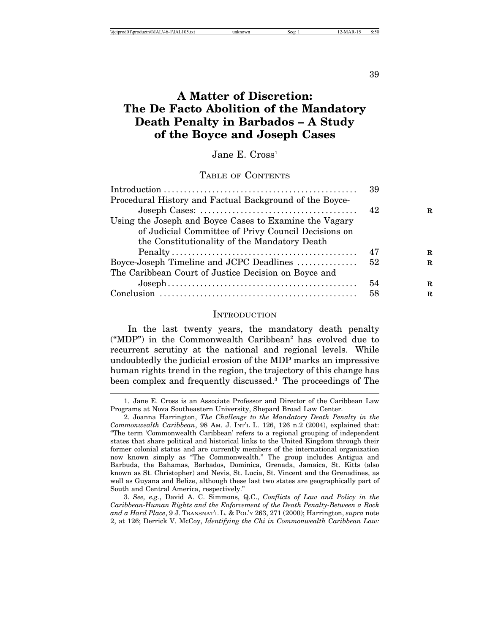39

## **A Matter of Discretion: The De Facto Abolition of the Mandatory Death Penalty in Barbados – A Study of the Boyce and Joseph Cases**

Jane E. Cross<sup>1</sup>

#### TABLE OF CONTENTS

|                                                         | 39 |   |
|---------------------------------------------------------|----|---|
| Procedural History and Factual Background of the Boyce- |    |   |
|                                                         | 42 | R |
| Using the Joseph and Boyce Cases to Examine the Vagary  |    |   |
| of Judicial Committee of Privy Council Decisions on     |    |   |
| the Constitutionality of the Mandatory Death            |    |   |
|                                                         | 47 | R |
| Boyce-Joseph Timeline and JCPC Deadlines                | 52 | R |
| The Caribbean Court of Justice Decision on Boyce and    |    |   |
|                                                         | 54 | R |
|                                                         | 58 | R |

#### **INTRODUCTION**

In the last twenty years, the mandatory death penalty ("MDP") in the Commonwealth Caribbean<sup>2</sup> has evolved due to recurrent scrutiny at the national and regional levels. While undoubtedly the judicial erosion of the MDP marks an impressive human rights trend in the region, the trajectory of this change has been complex and frequently discussed.3 The proceedings of The

<sup>1.</sup> Jane E. Cross is an Associate Professor and Director of the Caribbean Law Programs at Nova Southeastern University, Shepard Broad Law Center.

<sup>2.</sup> Joanna Harrington, *The Challenge to the Mandatory Death Penalty in the Commonwealth Caribbean*, 98 AM. J. INT'L L. 126, 126 n.2 (2004), explained that: "The term 'Commonwealth Caribbean' refers to a regional grouping of independent states that share political and historical links to the United Kingdom through their former colonial status and are currently members of the international organization now known simply as "The Commonwealth." The group includes Antigua and Barbuda, the Bahamas, Barbados, Dominica, Grenada, Jamaica, St. Kitts (also known as St. Christopher) and Nevis, St. Lucia, St. Vincent and the Grenadines, as well as Guyana and Belize, although these last two states are geographically part of South and Central America, respectively."

<sup>3.</sup> *See, e.g.*, David A. C. Simmons, Q.C., *Conflicts of Law and Policy in the Caribbean-Human Rights and the Enforcement of the Death Penalty-Between a Rock and a Hard Place*, 9 J. TRANSNAT'L L. & POL'Y 263, 271 (2000); Harrington, *supra* note 2, at 126; Derrick V. McCoy, *Identifying the Chi in Commonwealth Caribbean Law:*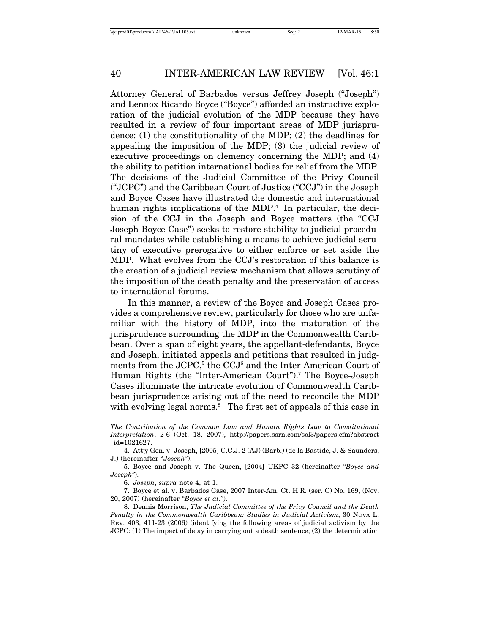Attorney General of Barbados versus Jeffrey Joseph ("Joseph") and Lennox Ricardo Boyce ("Boyce") afforded an instructive exploration of the judicial evolution of the MDP because they have resulted in a review of four important areas of MDP jurisprudence: (1) the constitutionality of the MDP; (2) the deadlines for appealing the imposition of the MDP; (3) the judicial review of executive proceedings on clemency concerning the MDP; and (4) the ability to petition international bodies for relief from the MDP. The decisions of the Judicial Committee of the Privy Council ("JCPC") and the Caribbean Court of Justice ("CCJ") in the Joseph and Boyce Cases have illustrated the domestic and international human rights implications of the MDP.<sup>4</sup> In particular, the decision of the CCJ in the Joseph and Boyce matters (the "CCJ Joseph-Boyce Case") seeks to restore stability to judicial procedural mandates while establishing a means to achieve judicial scrutiny of executive prerogative to either enforce or set aside the MDP. What evolves from the CCJ's restoration of this balance is the creation of a judicial review mechanism that allows scrutiny of the imposition of the death penalty and the preservation of access to international forums.

In this manner, a review of the Boyce and Joseph Cases provides a comprehensive review, particularly for those who are unfamiliar with the history of MDP, into the maturation of the jurisprudence surrounding the MDP in the Commonwealth Caribbean. Over a span of eight years, the appellant-defendants, Boyce and Joseph, initiated appeals and petitions that resulted in judgments from the JCPC, $^5$  the CCJ $^6$  and the Inter-American Court of Human Rights (the "Inter-American Court").<sup>7</sup> The Boyce-Joseph Cases illuminate the intricate evolution of Commonwealth Caribbean jurisprudence arising out of the need to reconcile the MDP with evolving legal norms.<sup>8</sup> The first set of appeals of this case in

5. Boyce and Joseph v. The Queen, [2004] UKPC 32 (hereinafter "*Boyce and Joseph"*).

6. *Joseph*, *supra* note 4, at 1.

7. Boyce et al. v. Barbados Case, 2007 Inter-Am. Ct. H.R. (ser. C) No. 169, (Nov. 20, 2007) (hereinafter "*Boyce et al."*).

8. Dennis Morrison, *The Judicial Committee of the Privy Council and the Death Penalty in the Commonwealth Caribbean: Studies in Judicial Activism*, 30 NOVA L. REV. 403, 411-23 (2006) (identifying the following areas of judicial activism by the JCPC: (1) The impact of delay in carrying out a death sentence; (2) the determination

*The Contribution of the Common Law and Human Rights Law to Constitutional Interpretation*, 2-6 (Oct. 18, 2007), http://papers.ssrn.com/sol3/papers.cfm?abstract \_id=1021627.

<sup>4.</sup> Att'y Gen. v. Joseph, [2005] C.C.J. 2 (AJ) (Barb.) (de la Bastide, J. & Saunders, J.) (hereinafter "*Joseph*").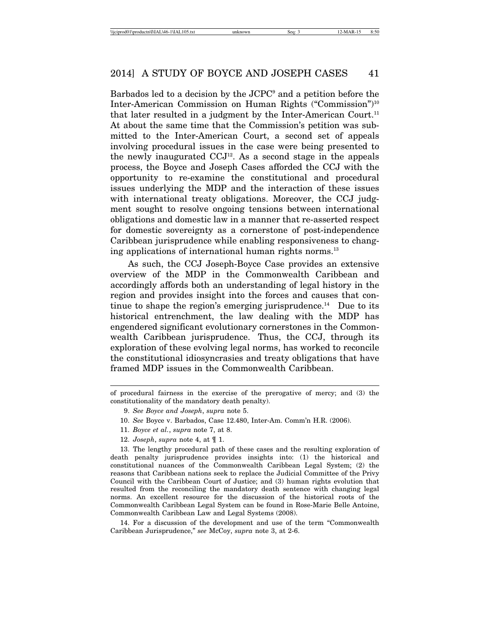Barbados led to a decision by the JCPC<sup>9</sup> and a petition before the Inter-American Commission on Human Rights ("Commission")10 that later resulted in a judgment by the Inter-American Court.<sup>11</sup> At about the same time that the Commission's petition was submitted to the Inter-American Court, a second set of appeals involving procedural issues in the case were being presented to the newly inaugurated  $CCJ<sup>12</sup>$ . As a second stage in the appeals process, the Boyce and Joseph Cases afforded the CCJ with the opportunity to re-examine the constitutional and procedural issues underlying the MDP and the interaction of these issues with international treaty obligations. Moreover, the CCJ judgment sought to resolve ongoing tensions between international obligations and domestic law in a manner that re-asserted respect for domestic sovereignty as a cornerstone of post-independence Caribbean jurisprudence while enabling responsiveness to changing applications of international human rights norms.<sup>13</sup>

As such, the CCJ Joseph-Boyce Case provides an extensive overview of the MDP in the Commonwealth Caribbean and accordingly affords both an understanding of legal history in the region and provides insight into the forces and causes that continue to shape the region's emerging jurisprudence.<sup>14</sup> Due to its historical entrenchment, the law dealing with the MDP has engendered significant evolutionary cornerstones in the Commonwealth Caribbean jurisprudence. Thus, the CCJ, through its exploration of these evolving legal norms, has worked to reconcile the constitutional idiosyncrasies and treaty obligations that have framed MDP issues in the Commonwealth Caribbean.

10. *See* Boyce v. Barbados, Case 12.480, Inter-Am. Comm'n H.R. (2006).

12. *Joseph*, *supra* note 4, at ¶ 1.

14. For a discussion of the development and use of the term "Commonwealth Caribbean Jurisprudence," *see* McCoy, *supra* note 3, at 2-6.

of procedural fairness in the exercise of the prerogative of mercy; and (3) the constitutionality of the mandatory death penalty).

<sup>9.</sup> *See Boyce and Joseph*, *supra* note 5.

<sup>11.</sup> *Boyce et al.*, *supra* note 7, at 8.

<sup>13.</sup> The lengthy procedural path of these cases and the resulting exploration of death penalty jurisprudence provides insights into: (1) the historical and constitutional nuances of the Commonwealth Caribbean Legal System; (2) the reasons that Caribbean nations seek to replace the Judicial Committee of the Privy Council with the Caribbean Court of Justice; and (3) human rights evolution that resulted from the reconciling the mandatory death sentence with changing legal norms. An excellent resource for the discussion of the historical roots of the Commonwealth Caribbean Legal System can be found in Rose-Marie Belle Antoine, Commonwealth Caribbean Law and Legal Systems (2008).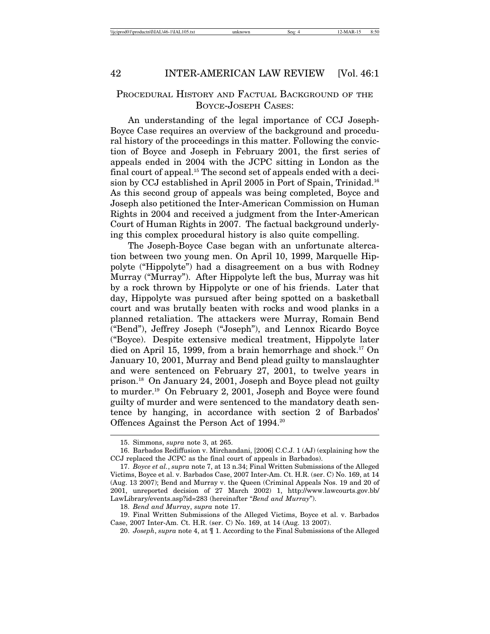#### PROCEDURAL HISTORY AND FACTUAL BACKGROUND OF THE BOYCE-JOSEPH CASES:

An understanding of the legal importance of CCJ Joseph-Boyce Case requires an overview of the background and procedural history of the proceedings in this matter. Following the conviction of Boyce and Joseph in February 2001, the first series of appeals ended in 2004 with the JCPC sitting in London as the final court of appeal.<sup>15</sup> The second set of appeals ended with a decision by CCJ established in April 2005 in Port of Spain, Trinidad.<sup>16</sup> As this second group of appeals was being completed, Boyce and Joseph also petitioned the Inter-American Commission on Human Rights in 2004 and received a judgment from the Inter-American Court of Human Rights in 2007. The factual background underlying this complex procedural history is also quite compelling.

The Joseph-Boyce Case began with an unfortunate altercation between two young men. On April 10, 1999, Marquelle Hippolyte ("Hippolyte") had a disagreement on a bus with Rodney Murray ("Murray"). After Hippolyte left the bus, Murray was hit by a rock thrown by Hippolyte or one of his friends. Later that day, Hippolyte was pursued after being spotted on a basketball court and was brutally beaten with rocks and wood planks in a planned retaliation. The attackers were Murray, Romain Bend ("Bend"), Jeffrey Joseph ("Joseph"), and Lennox Ricardo Boyce ("Boyce). Despite extensive medical treatment, Hippolyte later died on April 15, 1999, from a brain hemorrhage and shock.<sup>17</sup> On January 10, 2001, Murray and Bend plead guilty to manslaughter and were sentenced on February 27, 2001, to twelve years in prison.18 On January 24, 2001, Joseph and Boyce plead not guilty to murder.19 On February 2, 2001, Joseph and Boyce were found guilty of murder and were sentenced to the mandatory death sentence by hanging, in accordance with section 2 of Barbados' Offences Against the Person Act of 1994.<sup>20</sup>

<sup>15.</sup> Simmons, *supra* note 3, at 265.

<sup>16.</sup> Barbados Rediffusion v. Mirchandani, [2006] C.C.J. 1 (AJ) (explaining how the CCJ replaced the JCPC as the final court of appeals in Barbados).

<sup>17.</sup> *Boyce et al.*, *supra* note 7, at 13 n.34; Final Written Submissions of the Alleged Victims, Boyce et al. v. Barbados Case, 2007 Inter-Am. Ct. H.R. (ser. C) No. 169, at 14 (Aug. 13 2007); Bend and Murray v. the Queen (Criminal Appeals Nos. 19 and 20 of 2001, unreported decision of 27 March 2002) 1, http://www.lawcourts.gov.bb/ LawLibrary/events.asp?id=283 (hereinafter "*Bend and Murray*").

<sup>18.</sup> *Bend and Murray*, *supra* note 17.

<sup>19.</sup> Final Written Submissions of the Alleged Victims, Boyce et al. v. Barbados Case, 2007 Inter-Am. Ct. H.R. (ser. C) No. 169, at 14 (Aug. 13 2007).

<sup>20.</sup> *Joseph*, *supra* note 4, at ¶ 1. According to the Final Submissions of the Alleged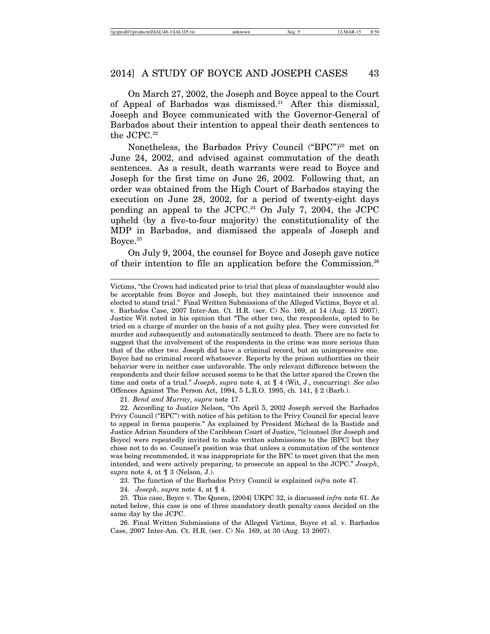On March 27, 2002, the Joseph and Boyce appeal to the Court of Appeal of Barbados was dismissed.21 After this dismissal, Joseph and Boyce communicated with the Governor-General of Barbados about their intention to appeal their death sentences to the JCPC.22

Nonetheless, the Barbados Privy Council ("BPC")23 met on June 24, 2002, and advised against commutation of the death sentences. As a result, death warrants were read to Boyce and Joseph for the first time on June 26, 2002. Following that, an order was obtained from the High Court of Barbados staying the execution on June 28, 2002, for a period of twenty-eight days pending an appeal to the JCPC.<sup>24</sup> On July 7, 2004, the JCPC upheld (by a five-to-four majority) the constitutionality of the MDP in Barbados, and dismissed the appeals of Joseph and Boyce.<sup>25</sup>

On July 9, 2004, the counsel for Boyce and Joseph gave notice of their intention to file an application before the Commission.26

21. *Bend and Murray*, *supra* note 17.

22. According to Justice Nelson, "On April 5, 2002 Joseph served the Barbados Privy Council ("BPC") with notice of his petition to the Privy Council for special leave to appeal in forma pauperis." As explained by President Micheal de la Bastide and Justice Adrian Saunders of the Caribbean Court of Justice, "[c]ounsel [for Joseph and Boyce] were repeatedly invited to make written submissions to the [BPC] but they chose not to do so. Counsel's position was that unless a commutation of the sentence was being recommended, it was inappropriate for the BPC to meet given that the men intended, and were actively preparing, to prosecute an appeal to the JCPC." *Joseph*, *supra* note 4, at  $\mathcal{J}$  3 (Nelson, J.).

23. The function of the Barbados Privy Council is explained *infra* note 47.

24. *Joseph*, *supra* note 4, at ¶ 4.

25. This case, Boyce v. The Queen, [2004] UKPC 32, is discussed *infra* note 61. As noted below, this case is one of three mandatory death penalty cases decided on the same day by the JCPC.

26. Final Written Submissions of the Alleged Victims, Boyce et al. v. Barbados Case, 2007 Inter-Am. Ct. H.R. (ser. C) No. 169, at 30 (Aug. 13 2007).

Victims, "the Crown had indicated prior to trial that pleas of manslaughter would also be acceptable from Boyce and Joseph, but they maintained their innocence and elected to stand trial." Final Written Submissions of the Alleged Victims, Boyce et al. v. Barbados Case, 2007 Inter-Am. Ct. H.R. (ser. C) No. 169, at 14 (Aug. 13 2007). Justice Wit noted in his opinion that "The other two, the respondents, opted to be tried on a charge of murder on the basis of a not guilty plea. They were convicted for murder and subsequently and automatically sentenced to death. There are no facts to suggest that the involvement of the respondents in the crime was more serious than that of the other two. Joseph did have a criminal record, but an unimpressive one. Boyce had no criminal record whatsoever. Reports by the prison authorities on their behavior were in neither case unfavorable. The only relevant difference between the respondents and their fellow accused seems to be that the latter spared the Crown the time and costs of a trial." *Joseph*, *supra* note 4, at ¶ 4 (Wit, J., concurring). *See also* Offences Against The Person Act, 1994, 5 L.R.O. 1995, ch. 141, § 2 (Barb.).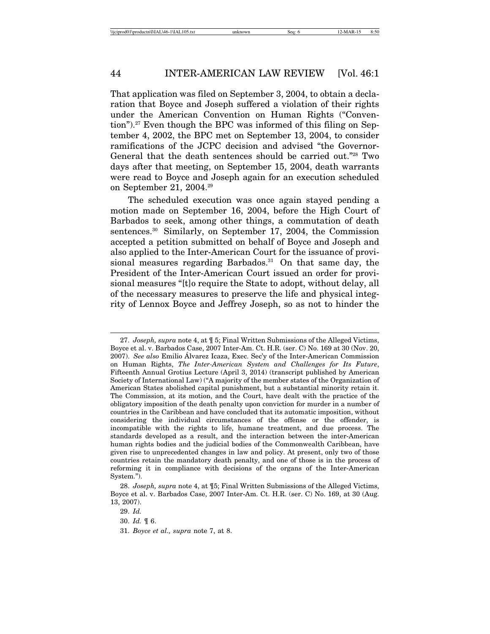That application was filed on September 3, 2004, to obtain a declaration that Boyce and Joseph suffered a violation of their rights under the American Convention on Human Rights ("Convention").27 Even though the BPC was informed of this filing on September 4, 2002, the BPC met on September 13, 2004, to consider ramifications of the JCPC decision and advised "the Governor-General that the death sentences should be carried out."28 Two days after that meeting, on September 15, 2004, death warrants were read to Boyce and Joseph again for an execution scheduled on September 21, 2004.29

The scheduled execution was once again stayed pending a motion made on September 16, 2004, before the High Court of Barbados to seek, among other things, a commutation of death sentences.<sup>30</sup> Similarly, on September 17, 2004, the Commission accepted a petition submitted on behalf of Boyce and Joseph and also applied to the Inter-American Court for the issuance of provisional measures regarding Barbados.<sup>31</sup> On that same day, the President of the Inter-American Court issued an order for provisional measures "[t]o require the State to adopt, without delay, all of the necessary measures to preserve the life and physical integrity of Lennox Boyce and Jeffrey Joseph, so as not to hinder the

<sup>27.</sup> *Joseph, supra* note 4, at ¶ 5; Final Written Submissions of the Alleged Victims, Boyce et al. v. Barbados Case, 2007 Inter-Am. Ct. H.R. (ser. C) No. 169 at 30 (Nov. 20, 2007). *See also* Emilio Alvarez Icaza, Exec. Sec'y of the Inter-American Commission ´ on Human Rights, *The Inter-American System and Challenges for Its Future*, Fifteenth Annual Grotius Lecture (April 3, 2014) (transcript published by American Society of International Law) ("A majority of the member states of the Organization of American States abolished capital punishment, but a substantial minority retain it. The Commission, at its motion, and the Court, have dealt with the practice of the obligatory imposition of the death penalty upon conviction for murder in a number of countries in the Caribbean and have concluded that its automatic imposition, without considering the individual circumstances of the offense or the offender, is incompatible with the rights to life, humane treatment, and due process. The standards developed as a result, and the interaction between the inter-American human rights bodies and the judicial bodies of the Commonwealth Caribbean, have given rise to unprecedented changes in law and policy. At present, only two of those countries retain the mandatory death penalty, and one of those is in the process of reforming it in compliance with decisions of the organs of the Inter-American System.").

<sup>28.</sup> *Joseph, supra* note 4, at ¶5; Final Written Submissions of the Alleged Victims, Boyce et al. v. Barbados Case, 2007 Inter-Am. Ct. H.R. (ser. C) No. 169, at 30 (Aug. 13, 2007).

<sup>29.</sup> *Id.*

<sup>30.</sup> *Id.* ¶ 6.

<sup>31.</sup> *Boyce et al., supra* note 7, at 8.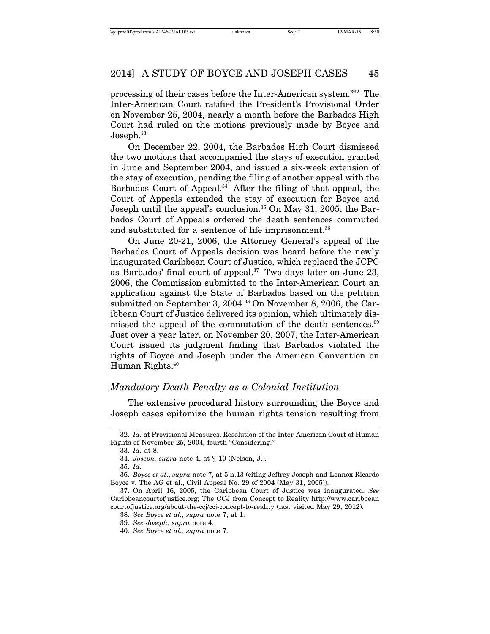processing of their cases before the Inter-American system."32 The Inter-American Court ratified the President's Provisional Order on November 25, 2004, nearly a month before the Barbados High Court had ruled on the motions previously made by Boyce and Joseph.<sup>33</sup>

On December 22, 2004, the Barbados High Court dismissed the two motions that accompanied the stays of execution granted in June and September 2004, and issued a six-week extension of the stay of execution, pending the filing of another appeal with the Barbados Court of Appeal.34 After the filing of that appeal, the Court of Appeals extended the stay of execution for Boyce and Joseph until the appeal's conclusion.<sup>35</sup> On May 31, 2005, the Barbados Court of Appeals ordered the death sentences commuted and substituted for a sentence of life imprisonment.<sup>36</sup>

On June 20-21, 2006, the Attorney General's appeal of the Barbados Court of Appeals decision was heard before the newly inaugurated Caribbean Court of Justice, which replaced the JCPC as Barbados' final court of appeal.<sup>37</sup> Two days later on June 23, 2006, the Commission submitted to the Inter-American Court an application against the State of Barbados based on the petition submitted on September 3, 2004.<sup>38</sup> On November 8, 2006, the Caribbean Court of Justice delivered its opinion, which ultimately dismissed the appeal of the commutation of the death sentences.<sup>39</sup> Just over a year later, on November 20, 2007, the Inter-American Court issued its judgment finding that Barbados violated the rights of Boyce and Joseph under the American Convention on Human Rights.40

#### *Mandatory Death Penalty as a Colonial Institution*

The extensive procedural history surrounding the Boyce and Joseph cases epitomize the human rights tension resulting from

35. *Id.*

<sup>32.</sup> *Id.* at Provisional Measures, Resolution of the Inter-American Court of Human Rights of November 25, 2004, fourth "Considering."

<sup>33.</sup> *Id.* at 8.

<sup>34.</sup> *Joseph, supra* note 4, at ¶ 10 (Nelson, J.).

<sup>36.</sup> *Boyce et al*., *supra* note 7, at 5 n.13 (citing Jeffrey Joseph and Lennox Ricardo Boyce v. The AG et al., Civil Appeal No. 29 of 2004 (May 31, 2005)).

<sup>37.</sup> On April 16, 2005, the Caribbean Court of Justice was inaugurated. *See* Caribbeancourtofjustice.org; The CCJ from Concept to Reality http://www.caribbean courtofjustice.org/about-the-ccj/ccj-concept-to-reality (last visited May 29, 2012).

<sup>38.</sup> *See Boyce et al.*, *supra* note 7, at 1.

<sup>39.</sup> *See Joseph, supra* note 4.

<sup>40.</sup> *See Boyce et al., supra* note 7.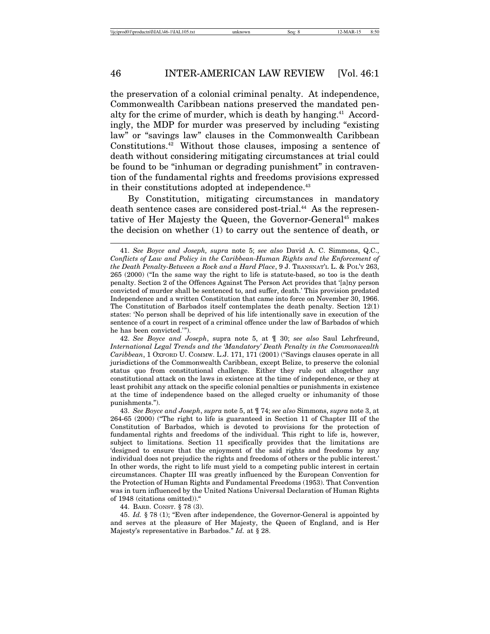the preservation of a colonial criminal penalty. At independence, Commonwealth Caribbean nations preserved the mandated penalty for the crime of murder, which is death by hanging.<sup>41</sup> Accordingly, the MDP for murder was preserved by including "existing law" or "savings law" clauses in the Commonwealth Caribbean Constitutions.42 Without those clauses, imposing a sentence of death without considering mitigating circumstances at trial could be found to be "inhuman or degrading punishment" in contravention of the fundamental rights and freedoms provisions expressed in their constitutions adopted at independence.<sup>43</sup>

By Constitution, mitigating circumstances in mandatory death sentence cases are considered post-trial.<sup>44</sup> As the representative of Her Majesty the Queen, the Governor-General<sup>45</sup> makes the decision on whether (1) to carry out the sentence of death, or

42. *See Boyce and Joseph*, supra note 5, at ¶ 30; *see also* Saul Lehrfreund, *International Legal Trends and the 'Mandatory' Death Penalty in the Commonwealth Caribbean*, 1 OXFORD U. COMMW. L.J. 171, 171 (2001) ("Savings clauses operate in all jurisdictions of the Commonwealth Caribbean, except Belize, to preserve the colonial status quo from constitutional challenge. Either they rule out altogether any constitutional attack on the laws in existence at the time of independence, or they at least prohibit any attack on the specific colonial penalties or punishments in existence at the time of independence based on the alleged cruelty or inhumanity of those punishments.").

44. BARB. CONST. § 78 (3).

45. *Id.* § 78 (1); "Even after independence, the Governor-General is appointed by and serves at the pleasure of Her Majesty, the Queen of England, and is Her Majesty's representative in Barbados." *Id.* at § 28.

<sup>41.</sup> *See Boyce and Joseph, supra* note 5; *see also* David A. C. Simmons, Q.C., *Conflicts of Law and Policy in the Caribbean-Human Rights and the Enforcement of the Death Penalty-Between a Rock and a Hard Place*, 9 J. TRANSNAT'L L. & POL'Y 263, 265 (2000) ("In the same way the right to life is statute-based, so too is the death penalty. Section 2 of the Offences Against The Person Act provides that '[a]ny person convicted of murder shall be sentenced to, and suffer, death.' This provision predated Independence and a written Constitution that came into force on November 30, 1966. The Constitution of Barbados itself contemplates the death penalty. Section 12(1) states: 'No person shall be deprived of his life intentionally save in execution of the sentence of a court in respect of a criminal offence under the law of Barbados of which he has been convicted.'").

<sup>43.</sup> *See Boyce and Joseph*, *supra* note 5, at ¶ 74; *see also* Simmons, *supra* note 3, at 264-65 (2000) ("The right to life is guaranteed in Section 11 of Chapter III of the Constitution of Barbados, which is devoted to provisions for the protection of fundamental rights and freedoms of the individual. This right to life is, however, subject to limitations. Section 11 specifically provides that the limitations are 'designed to ensure that the enjoyment of the said rights and freedoms by any individual does not prejudice the rights and freedoms of others or the public interest.' In other words, the right to life must yield to a competing public interest in certain circumstances. Chapter III was greatly influenced by the European Convention for the Protection of Human Rights and Fundamental Freedoms (1953). That Convention was in turn influenced by the United Nations Universal Declaration of Human Rights of 1948 (citations omitted))."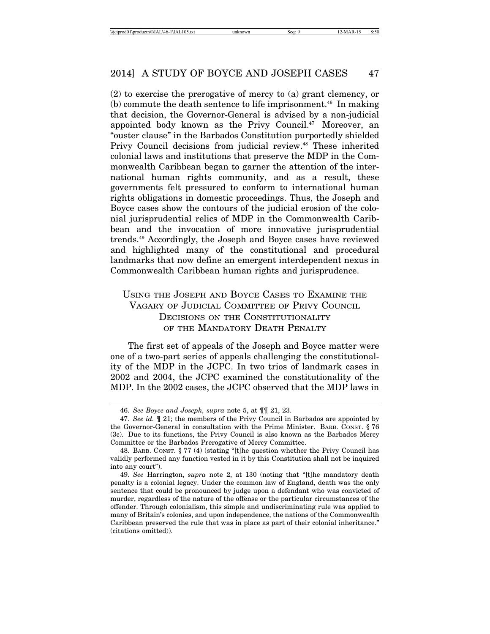(2) to exercise the prerogative of mercy to (a) grant clemency, or  $(b)$  commute the death sentence to life imprisonment.<sup>46</sup> In making that decision, the Governor-General is advised by a non-judicial appointed body known as the Privy Council.<sup>47</sup> Moreover, an "ouster clause" in the Barbados Constitution purportedly shielded Privy Council decisions from judicial review.<sup>48</sup> These inherited colonial laws and institutions that preserve the MDP in the Commonwealth Caribbean began to garner the attention of the international human rights community, and as a result, these governments felt pressured to conform to international human rights obligations in domestic proceedings. Thus, the Joseph and Boyce cases show the contours of the judicial erosion of the colonial jurisprudential relics of MDP in the Commonwealth Caribbean and the invocation of more innovative jurisprudential trends.49 Accordingly, the Joseph and Boyce cases have reviewed and highlighted many of the constitutional and procedural landmarks that now define an emergent interdependent nexus in Commonwealth Caribbean human rights and jurisprudence.

### USING THE JOSEPH AND BOYCE CASES TO EXAMINE THE VAGARY OF JUDICIAL COMMITTEE OF PRIVY COUNCIL DECISIONS ON THE CONSTITUTIONALITY OF THE MANDATORY DEATH PENALTY

The first set of appeals of the Joseph and Boyce matter were one of a two-part series of appeals challenging the constitutionality of the MDP in the JCPC. In two trios of landmark cases in 2002 and 2004, the JCPC examined the constitutionality of the MDP. In the 2002 cases, the JCPC observed that the MDP laws in

<sup>46.</sup> *See Boyce and Joseph, supra* note 5, at ¶¶ 21, 23.

<sup>47.</sup> *See id.* ¶ 21; the members of the Privy Council in Barbados are appointed by the Governor-General in consultation with the Prime Minister. BARB. CONST. § 76 (3c). Due to its functions, the Privy Council is also known as the Barbados Mercy Committee or the Barbados Prerogative of Mercy Committee.

<sup>48.</sup> BARB. CONST. § 77 (4) (stating "[t]he question whether the Privy Council has validly performed any function vested in it by this Constitution shall not be inquired into any court").

<sup>49.</sup> *See* Harrington, *supra* note 2, at 130 (noting that "[t]he mandatory death penalty is a colonial legacy. Under the common law of England, death was the only sentence that could be pronounced by judge upon a defendant who was convicted of murder, regardless of the nature of the offense or the particular circumstances of the offender. Through colonialism, this simple and undiscriminating rule was applied to many of Britain's colonies, and upon independence, the nations of the Commonwealth Caribbean preserved the rule that was in place as part of their colonial inheritance." (citations omitted)).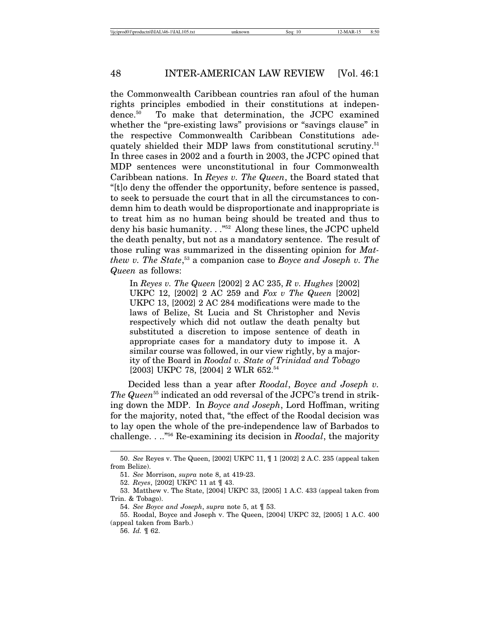the Commonwealth Caribbean countries ran afoul of the human rights principles embodied in their constitutions at independence.50 To make that determination, the JCPC examined whether the "pre-existing laws" provisions or "savings clause" in the respective Commonwealth Caribbean Constitutions adequately shielded their MDP laws from constitutional scrutiny.<sup>51</sup> In three cases in 2002 and a fourth in 2003, the JCPC opined that MDP sentences were unconstitutional in four Commonwealth Caribbean nations. In *Reyes v. The Queen*, the Board stated that "[t]o deny the offender the opportunity, before sentence is passed, to seek to persuade the court that in all the circumstances to condemn him to death would be disproportionate and inappropriate is to treat him as no human being should be treated and thus to deny his basic humanity. . ."52 Along these lines, the JCPC upheld the death penalty, but not as a mandatory sentence. The result of those ruling was summarized in the dissenting opinion for *Matthew v. The State*, 53 a companion case to *Boyce and Joseph v. The Queen* as follows:

In *Reyes v. The Queen* [2002] 2 AC 235, *R v. Hughes* [2002] UKPC 12, [2002] 2 AC 259 and *Fox v The Queen* [2002] UKPC 13, [2002] 2 AC 284 modifications were made to the laws of Belize, St Lucia and St Christopher and Nevis respectively which did not outlaw the death penalty but substituted a discretion to impose sentence of death in appropriate cases for a mandatory duty to impose it. A similar course was followed, in our view rightly, by a majority of the Board in *Roodal v. State of Trinidad and Tobago* [2003] UKPC 78, [2004] 2 WLR 652.<sup>54</sup>

Decided less than a year after *Roodal*, *Boyce and Joseph v. The Queen*<sup>55</sup> indicated an odd reversal of the JCPC's trend in striking down the MDP. In *Boyce and Joseph*, Lord Hoffman, writing for the majority, noted that, "the effect of the Roodal decision was to lay open the whole of the pre-independence law of Barbados to challenge. . .."56 Re-examining its decision in *Roodal*, the majority

<sup>50.</sup> *See* Reyes v. The Queen, [2002] UKPC 11, ¶ 1 [2002] 2 A.C. 235 (appeal taken from Belize).

<sup>51.</sup> *See* Morrison, *supra* note 8, at 419-23.

<sup>52.</sup> *Reyes*, [2002] UKPC 11 at ¶ 43.

<sup>53.</sup> Matthew v. The State, [2004] UKPC 33, [2005] 1 A.C. 433 (appeal taken from Trin. & Tobago).

<sup>54.</sup> *See Boyce and Joseph*, *supra* note 5, at ¶ 53.

<sup>55.</sup> Roodal, Boyce and Joseph v. The Queen, [2004] UKPC 32, [2005] 1 A.C. 400 (appeal taken from Barb.)

<sup>56.</sup> *Id.* ¶ 62.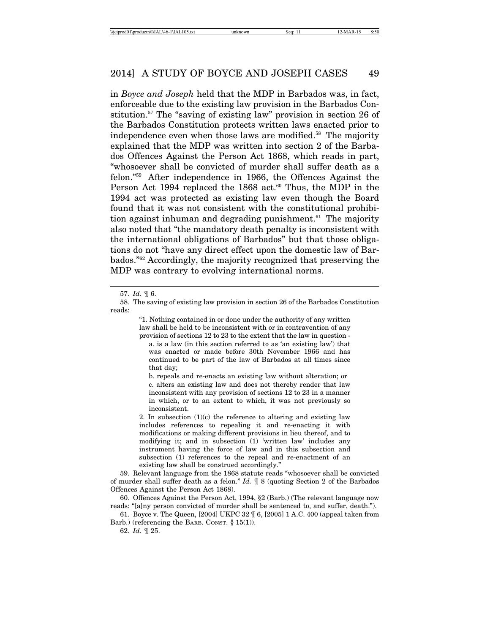in *Boyce and Joseph* held that the MDP in Barbados was, in fact, enforceable due to the existing law provision in the Barbados Constitution.57 The "saving of existing law" provision in section 26 of the Barbados Constitution protects written laws enacted prior to independence even when those laws are modified.<sup>58</sup> The majority explained that the MDP was written into section 2 of the Barbados Offences Against the Person Act 1868, which reads in part, "whosoever shall be convicted of murder shall suffer death as a felon."59 After independence in 1966, the Offences Against the Person Act 1994 replaced the 1868 act. $60$  Thus, the MDP in the 1994 act was protected as existing law even though the Board found that it was not consistent with the constitutional prohibition against inhuman and degrading punishment. $61$  The majority also noted that "the mandatory death penalty is inconsistent with the international obligations of Barbados" but that those obligations do not "have any direct effect upon the domestic law of Barbados."62 Accordingly, the majority recognized that preserving the MDP was contrary to evolving international norms.

"1. Nothing contained in or done under the authority of any written law shall be held to be inconsistent with or in contravention of any provision of sections 12 to 23 to the extent that the law in question a. is a law (in this section referred to as 'an existing law') that was enacted or made before 30th November 1966 and has continued to be part of the law of Barbados at all times since that day;

b. repeals and re-enacts an existing law without alteration; or c. alters an existing law and does not thereby render that law inconsistent with any provision of sections 12 to 23 in a manner in which, or to an extent to which, it was not previously so inconsistent.

2. In subsection (1)(c) the reference to altering and existing law includes references to repealing it and re-enacting it with modifications or making different provisions in lieu thereof, and to modifying it; and in subsection (1) 'written law' includes any instrument having the force of law and in this subsection and subsection (1) references to the repeal and re-enactment of an existing law shall be construed accordingly."

59. Relevant language from the 1868 statute reads "whosoever shall be convicted of murder shall suffer death as a felon." *Id.* ¶ 8 (quoting Section 2 of the Barbados Offences Against the Person Act 1868).

61. Boyce v. The Queen, [2004] UKPC 32 ¶ 6, [2005] 1 A.C. 400 (appeal taken from Barb.) (referencing the BARB. CONST. § 15(1)).

62. *Id.* ¶ 25.

<sup>57.</sup> *Id.* ¶ 6.

<sup>58.</sup> The saving of existing law provision in section 26 of the Barbados Constitution reads:

<sup>60.</sup> Offences Against the Person Act, 1994, §2 (Barb.) (The relevant language now reads: "[a]ny person convicted of murder shall be sentenced to, and suffer, death.").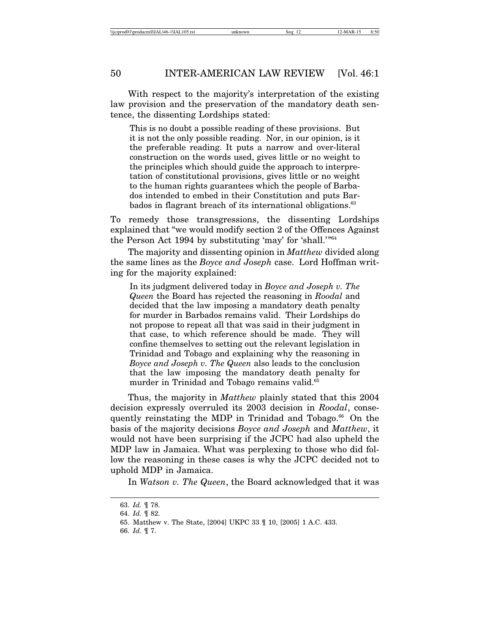With respect to the majority's interpretation of the existing law provision and the preservation of the mandatory death sentence, the dissenting Lordships stated:

This is no doubt a possible reading of these provisions. But it is not the only possible reading. Nor, in our opinion, is it the preferable reading. It puts a narrow and over-literal construction on the words used, gives little or no weight to the principles which should guide the approach to interpretation of constitutional provisions, gives little or no weight to the human rights guarantees which the people of Barbados intended to embed in their Constitution and puts Barbados in flagrant breach of its international obligations.<sup>63</sup>

To remedy those transgressions, the dissenting Lordships explained that "we would modify section 2 of the Offences Against the Person Act 1994 by substituting 'may' for 'shall.'"64

The majority and dissenting opinion in *Matthew* divided along the same lines as the *Boyce and Joseph* case. Lord Hoffman writing for the majority explained:

In its judgment delivered today in *Boyce and Joseph v. The Queen* the Board has rejected the reasoning in *Roodal* and decided that the law imposing a mandatory death penalty for murder in Barbados remains valid. Their Lordships do not propose to repeat all that was said in their judgment in that case, to which reference should be made. They will confine themselves to setting out the relevant legislation in Trinidad and Tobago and explaining why the reasoning in *Boyce and Joseph v. The Queen* also leads to the conclusion that the law imposing the mandatory death penalty for murder in Trinidad and Tobago remains valid.<sup>65</sup>

Thus, the majority in *Matthew* plainly stated that this 2004 decision expressly overruled its 2003 decision in *Roodal*, consequently reinstating the MDP in Trinidad and Tobago.<sup>66</sup> On the basis of the majority decisions *Boyce and Joseph* and *Matthew*, it would not have been surprising if the JCPC had also upheld the MDP law in Jamaica. What was perplexing to those who did follow the reasoning in these cases is why the JCPC decided not to uphold MDP in Jamaica.

In *Watson v. The Queen*, the Board acknowledged that it was

<sup>63.</sup> *Id.* ¶ 78.

<sup>64.</sup> *Id.* ¶ 82.

<sup>65.</sup> Matthew v. The State, [2004] UKPC 33 ¶ 10, [2005] 1 A.C. 433.

<sup>66.</sup> *Id.* ¶ 7.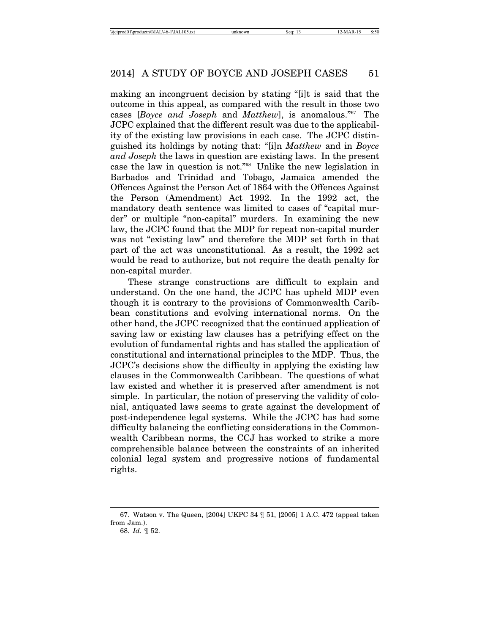making an incongruent decision by stating "[i]t is said that the outcome in this appeal, as compared with the result in those two cases [*Boyce and Joseph* and *Matthew*], is anomalous."67 The JCPC explained that the different result was due to the applicability of the existing law provisions in each case. The JCPC distinguished its holdings by noting that: "[i]n *Matthew* and in *Boyce and Joseph* the laws in question are existing laws. In the present case the law in question is not."68 Unlike the new legislation in Barbados and Trinidad and Tobago, Jamaica amended the Offences Against the Person Act of 1864 with the Offences Against the Person (Amendment) Act 1992. In the 1992 act, the mandatory death sentence was limited to cases of "capital murder" or multiple "non-capital" murders. In examining the new law, the JCPC found that the MDP for repeat non-capital murder was not "existing law" and therefore the MDP set forth in that part of the act was unconstitutional. As a result, the 1992 act would be read to authorize, but not require the death penalty for non-capital murder.

These strange constructions are difficult to explain and understand. On the one hand, the JCPC has upheld MDP even though it is contrary to the provisions of Commonwealth Caribbean constitutions and evolving international norms. On the other hand, the JCPC recognized that the continued application of saving law or existing law clauses has a petrifying effect on the evolution of fundamental rights and has stalled the application of constitutional and international principles to the MDP. Thus, the JCPC's decisions show the difficulty in applying the existing law clauses in the Commonwealth Caribbean. The questions of what law existed and whether it is preserved after amendment is not simple. In particular, the notion of preserving the validity of colonial, antiquated laws seems to grate against the development of post-independence legal systems. While the JCPC has had some difficulty balancing the conflicting considerations in the Commonwealth Caribbean norms, the CCJ has worked to strike a more comprehensible balance between the constraints of an inherited colonial legal system and progressive notions of fundamental rights.

<sup>67.</sup> Watson v. The Queen, [2004] UKPC 34 ¶ 51, [2005] 1 A.C. 472 (appeal taken from Jam.).

<sup>68.</sup> *Id.* ¶ 52.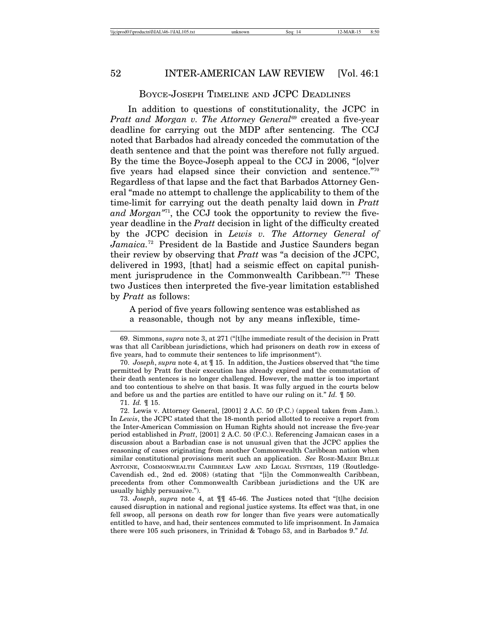#### BOYCE-JOSEPH TIMELINE AND JCPC DEADLINES

In addition to questions of constitutionality, the JCPC in *Pratt and Morgan v. The Attorney General*<sup>69</sup> created a five-year deadline for carrying out the MDP after sentencing. The CCJ noted that Barbados had already conceded the commutation of the death sentence and that the point was therefore not fully argued. By the time the Boyce-Joseph appeal to the CCJ in 2006, "[o]ver five years had elapsed since their conviction and sentence."70 Regardless of that lapse and the fact that Barbados Attorney General "made no attempt to challenge the applicability to them of the time-limit for carrying out the death penalty laid down in *Pratt and Morgan"*71, the CCJ took the opportunity to review the fiveyear deadline in the *Pratt* decision in light of the difficulty created by the JCPC decision in *Lewis v. The Attorney General of Jamaica.*<sup>72</sup> President de la Bastide and Justice Saunders began their review by observing that *Pratt* was "a decision of the JCPC, delivered in 1993, [that] had a seismic effect on capital punishment jurisprudence in the Commonwealth Caribbean."73 These two Justices then interpreted the five-year limitation established by *Pratt* as follows:

A period of five years following sentence was established as a reasonable, though not by any means inflexible, time-

71. *Id.* ¶ 15.

72. Lewis v. Attorney General, [2001] 2 A.C. 50 (P.C.) (appeal taken from Jam.). In *Lewis*, the JCPC stated that the 18-month period allotted to receive a report from the Inter-American Commission on Human Rights should not increase the five-year period established in *Pratt*, [2001] 2 A.C. 50 (P.C.). Referencing Jamaican cases in a discussion about a Barbadian case is not unusual given that the JCPC applies the reasoning of cases originating from another Commonwealth Caribbean nation when similar constitutional provisions merit such an application. *See* ROSE-MARIE BELLE ANTOINE, COMMONWEALTH CARIBBEAN LAW AND LEGAL SYSTEMS, 119 (Routledge-Cavendish ed., 2nd ed. 2008) (stating that "[i]n the Commonwealth Caribbean, precedents from other Commonwealth Caribbean jurisdictions and the UK are usually highly persuasive.").

73. *Joseph*, *supra* note 4, at ¶¶ 45-46. The Justices noted that "[t]he decision caused disruption in national and regional justice systems. Its effect was that, in one fell swoop, all persons on death row for longer than five years were automatically entitled to have, and had, their sentences commuted to life imprisonment. In Jamaica there were 105 such prisoners, in Trinidad & Tobago 53, and in Barbados 9." *Id.*

<sup>69.</sup> Simmons, *supra* note 3, at 271 ("[t]he immediate result of the decision in Pratt was that all Caribbean jurisdictions, which had prisoners on death row in excess of five years, had to commute their sentences to life imprisonment").

<sup>70.</sup> *Joseph*, *supra* note 4, at ¶ 15. In addition, the Justices observed that "the time permitted by Pratt for their execution has already expired and the commutation of their death sentences is no longer challenged. However, the matter is too important and too contentious to shelve on that basis. It was fully argued in the courts below and before us and the parties are entitled to have our ruling on it." *Id.* ¶ 50.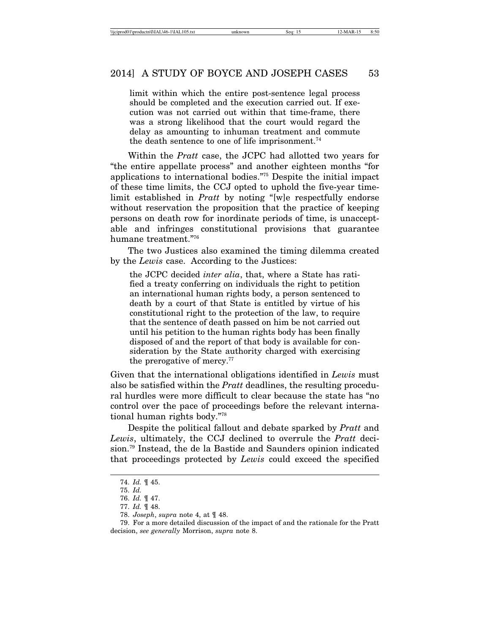limit within which the entire post-sentence legal process should be completed and the execution carried out. If execution was not carried out within that time-frame, there was a strong likelihood that the court would regard the delay as amounting to inhuman treatment and commute the death sentence to one of life imprisonment.<sup>74</sup>

Within the *Pratt* case, the JCPC had allotted two years for "the entire appellate process" and another eighteen months "for applications to international bodies."75 Despite the initial impact of these time limits, the CCJ opted to uphold the five-year timelimit established in *Pratt* by noting "[w]e respectfully endorse without reservation the proposition that the practice of keeping persons on death row for inordinate periods of time, is unacceptable and infringes constitutional provisions that guarantee humane treatment."76

The two Justices also examined the timing dilemma created by the *Lewis* case. According to the Justices:

the JCPC decided *inter alia*, that, where a State has ratified a treaty conferring on individuals the right to petition an international human rights body, a person sentenced to death by a court of that State is entitled by virtue of his constitutional right to the protection of the law, to require that the sentence of death passed on him be not carried out until his petition to the human rights body has been finally disposed of and the report of that body is available for consideration by the State authority charged with exercising the prerogative of mercy. $77$ 

Given that the international obligations identified in *Lewis* must also be satisfied within the *Pratt* deadlines, the resulting procedural hurdles were more difficult to clear because the state has "no control over the pace of proceedings before the relevant international human rights body."78

Despite the political fallout and debate sparked by *Pratt* and *Lewis*, ultimately, the CCJ declined to overrule the *Pratt* decision.79 Instead, the de la Bastide and Saunders opinion indicated that proceedings protected by *Lewis* could exceed the specified

<sup>74.</sup> *Id.* ¶ 45.

<sup>75.</sup> *Id.*

<sup>76.</sup> *Id.* ¶ 47.

<sup>77.</sup> *Id.* ¶ 48.

<sup>78.</sup> *Joseph*, *supra* note 4, at ¶ 48.

<sup>79.</sup> For a more detailed discussion of the impact of and the rationale for the Pratt decision, *see generally* Morrison, *supra* note 8.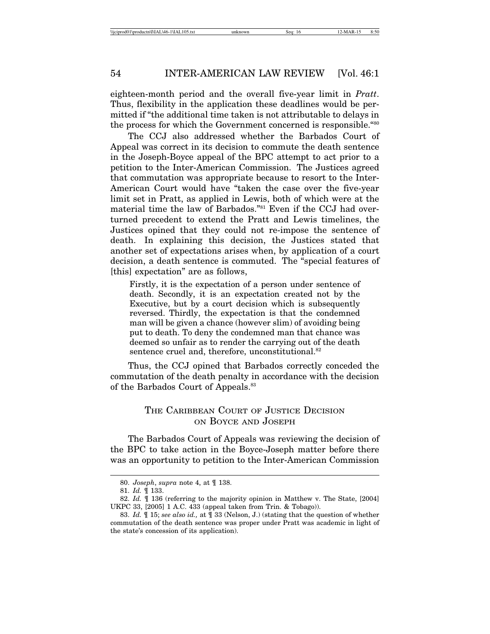eighteen-month period and the overall five-year limit in *Pratt*. Thus, flexibility in the application these deadlines would be permitted if "the additional time taken is not attributable to delays in the process for which the Government concerned is responsible."80

The CCJ also addressed whether the Barbados Court of Appeal was correct in its decision to commute the death sentence in the Joseph-Boyce appeal of the BPC attempt to act prior to a petition to the Inter-American Commission. The Justices agreed that commutation was appropriate because to resort to the Inter-American Court would have "taken the case over the five-year limit set in Pratt, as applied in Lewis, both of which were at the material time the law of Barbados."<sup>81</sup> Even if the CCJ had overturned precedent to extend the Pratt and Lewis timelines, the Justices opined that they could not re-impose the sentence of death. In explaining this decision, the Justices stated that another set of expectations arises when, by application of a court decision, a death sentence is commuted. The "special features of [this] expectation" are as follows,

Firstly, it is the expectation of a person under sentence of death. Secondly, it is an expectation created not by the Executive, but by a court decision which is subsequently reversed. Thirdly, the expectation is that the condemned man will be given a chance (however slim) of avoiding being put to death. To deny the condemned man that chance was deemed so unfair as to render the carrying out of the death sentence cruel and, therefore, unconstitutional.<sup>82</sup>

Thus, the CCJ opined that Barbados correctly conceded the commutation of the death penalty in accordance with the decision of the Barbados Court of Appeals.<sup>83</sup>

### THE CARIBBEAN COURT OF JUSTICE DECISION ON BOYCE AND JOSEPH

The Barbados Court of Appeals was reviewing the decision of the BPC to take action in the Boyce-Joseph matter before there was an opportunity to petition to the Inter-American Commission

<sup>80.</sup> *Joseph*, *supra* note 4, at ¶ 138.

<sup>81.</sup> *Id.* ¶ 133.

<sup>82.</sup> *Id.* ¶ 136 (referring to the majority opinion in Matthew v. The State, [2004] UKPC 33, [2005] 1 A.C. 433 (appeal taken from Trin. & Tobago)).

<sup>83.</sup> *Id.* ¶ 15; *see also id.,* at ¶ 33 (Nelson, J.) (stating that the question of whether commutation of the death sentence was proper under Pratt was academic in light of the state's concession of its application).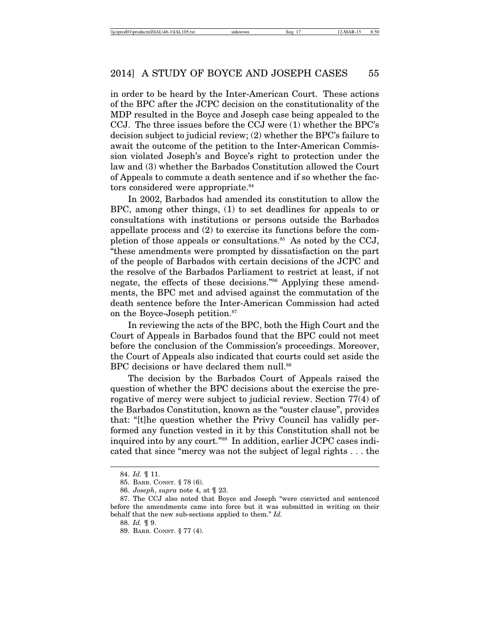in order to be heard by the Inter-American Court. These actions of the BPC after the JCPC decision on the constitutionality of the MDP resulted in the Boyce and Joseph case being appealed to the CCJ. The three issues before the CCJ were (1) whether the BPC's decision subject to judicial review; (2) whether the BPC's failure to await the outcome of the petition to the Inter-American Commission violated Joseph's and Boyce's right to protection under the law and (3) whether the Barbados Constitution allowed the Court of Appeals to commute a death sentence and if so whether the factors considered were appropriate.<sup>84</sup>

In 2002, Barbados had amended its constitution to allow the BPC, among other things, (1) to set deadlines for appeals to or consultations with institutions or persons outside the Barbados appellate process and (2) to exercise its functions before the completion of those appeals or consultations.<sup>85</sup> As noted by the CCJ, "these amendments were prompted by dissatisfaction on the part of the people of Barbados with certain decisions of the JCPC and the resolve of the Barbados Parliament to restrict at least, if not negate, the effects of these decisions."86 Applying these amendments, the BPC met and advised against the commutation of the death sentence before the Inter-American Commission had acted on the Boyce-Joseph petition.<sup>87</sup>

In reviewing the acts of the BPC, both the High Court and the Court of Appeals in Barbados found that the BPC could not meet before the conclusion of the Commission's proceedings. Moreover, the Court of Appeals also indicated that courts could set aside the BPC decisions or have declared them null.<sup>88</sup>

The decision by the Barbados Court of Appeals raised the question of whether the BPC decisions about the exercise the prerogative of mercy were subject to judicial review. Section 77(4) of the Barbados Constitution, known as the "ouster clause", provides that: "[t]he question whether the Privy Council has validly performed any function vested in it by this Constitution shall not be inquired into by any court."89 In addition, earlier JCPC cases indicated that since "mercy was not the subject of legal rights . . . the

<sup>84.</sup> *Id.* ¶ 11.

<sup>85.</sup> BARB. CONST. § 78 (6).

<sup>86.</sup> *Joseph*, *supra* note 4, at ¶ 23.

<sup>87.</sup> The CCJ also noted that Boyce and Joseph "were convicted and sentenced before the amendments came into force but it was submitted in writing on their behalf that the new sub-sections applied to them." *Id.*

<sup>88.</sup> *Id.* ¶ 9.

<sup>89.</sup> BARB. CONST. § 77 (4).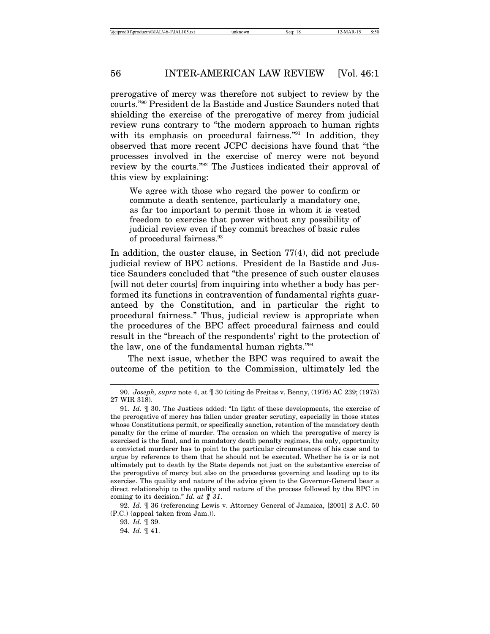prerogative of mercy was therefore not subject to review by the courts."90 President de la Bastide and Justice Saunders noted that shielding the exercise of the prerogative of mercy from judicial review runs contrary to "the modern approach to human rights with its emphasis on procedural fairness."<sup>91</sup> In addition, they observed that more recent JCPC decisions have found that "the processes involved in the exercise of mercy were not beyond review by the courts."92 The Justices indicated their approval of this view by explaining:

We agree with those who regard the power to confirm or commute a death sentence, particularly a mandatory one, as far too important to permit those in whom it is vested freedom to exercise that power without any possibility of judicial review even if they commit breaches of basic rules of procedural fairness.93

In addition, the ouster clause, in Section 77(4), did not preclude judicial review of BPC actions. President de la Bastide and Justice Saunders concluded that "the presence of such ouster clauses [will not deter courts] from inquiring into whether a body has performed its functions in contravention of fundamental rights guaranteed by the Constitution, and in particular the right to procedural fairness." Thus, judicial review is appropriate when the procedures of the BPC affect procedural fairness and could result in the "breach of the respondents' right to the protection of the law, one of the fundamental human rights."94

The next issue, whether the BPC was required to await the outcome of the petition to the Commission, ultimately led the

<sup>90.</sup> *Joseph, supra* note 4, at ¶ 30 (citing de Freitas v. Benny, (1976) AC 239; (1975) 27 WIR 318).

<sup>91.</sup> *Id.* ¶ 30. The Justices added: "In light of these developments, the exercise of the prerogative of mercy has fallen under greater scrutiny, especially in those states whose Constitutions permit, or specifically sanction, retention of the mandatory death penalty for the crime of murder. The occasion on which the prerogative of mercy is exercised is the final, and in mandatory death penalty regimes, the only, opportunity a convicted murderer has to point to the particular circumstances of his case and to argue by reference to them that he should not be executed. Whether he is or is not ultimately put to death by the State depends not just on the substantive exercise of the prerogative of mercy but also on the procedures governing and leading up to its exercise. The quality and nature of the advice given to the Governor-General bear a direct relationship to the quality and nature of the process followed by the BPC in coming to its decision." *Id. at ¶ 31*.

<sup>92.</sup> *Id.* ¶ 36 (referencing Lewis v. Attorney General of Jamaica, [2001] 2 A.C. 50 (P.C.) (appeal taken from Jam.)).

<sup>93.</sup> *Id.* ¶ 39.

<sup>94.</sup> *Id.* ¶ 41.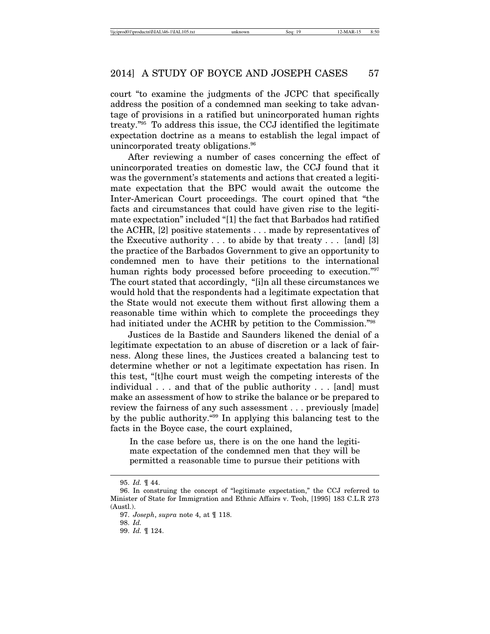court "to examine the judgments of the JCPC that specifically address the position of a condemned man seeking to take advantage of provisions in a ratified but unincorporated human rights treaty."95 To address this issue, the CCJ identified the legitimate expectation doctrine as a means to establish the legal impact of unincorporated treaty obligations.<sup>96</sup>

After reviewing a number of cases concerning the effect of unincorporated treaties on domestic law, the CCJ found that it was the government's statements and actions that created a legitimate expectation that the BPC would await the outcome the Inter-American Court proceedings. The court opined that "the facts and circumstances that could have given rise to the legitimate expectation" included "[1] the fact that Barbados had ratified the ACHR, [2] positive statements . . . made by representatives of the Executive authority  $\dots$  to abide by that treaty  $\dots$  [and] [3] the practice of the Barbados Government to give an opportunity to condemned men to have their petitions to the international human rights body processed before proceeding to execution."<sup>97</sup> The court stated that accordingly, "[i]n all these circumstances we would hold that the respondents had a legitimate expectation that the State would not execute them without first allowing them a reasonable time within which to complete the proceedings they had initiated under the ACHR by petition to the Commission."<sup>98</sup>

Justices de la Bastide and Saunders likened the denial of a legitimate expectation to an abuse of discretion or a lack of fairness. Along these lines, the Justices created a balancing test to determine whether or not a legitimate expectation has risen. In this test, "[t]he court must weigh the competing interests of the individual . . . and that of the public authority . . . [and] must make an assessment of how to strike the balance or be prepared to review the fairness of any such assessment . . . previously [made] by the public authority."99 In applying this balancing test to the facts in the Boyce case, the court explained,

In the case before us, there is on the one hand the legitimate expectation of the condemned men that they will be permitted a reasonable time to pursue their petitions with

<sup>95.</sup> *Id.* ¶ 44.

<sup>96.</sup> In construing the concept of "legitimate expectation," the CCJ referred to Minister of State for Immigration and Ethnic Affairs v. Teoh, [1995] 183 C.L.R 273 (Austl.).

<sup>97.</sup> *Joseph*, *supra* note 4, at ¶ 118.

<sup>98.</sup> *Id.*

<sup>99.</sup> *Id.* ¶ 124.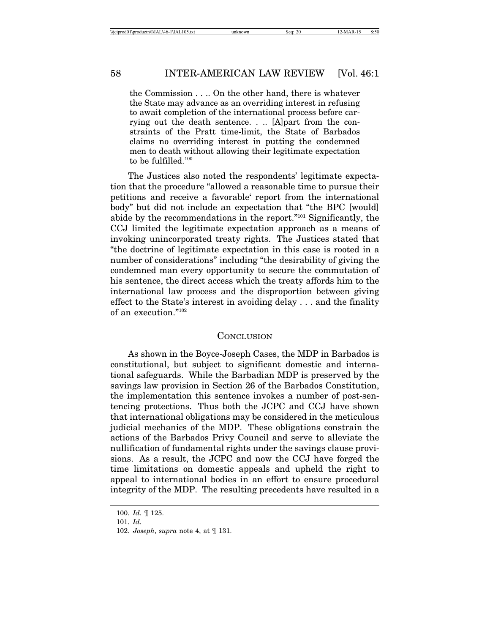the Commission . . .. On the other hand, there is whatever the State may advance as an overriding interest in refusing to await completion of the international process before carrying out the death sentence. . .. [A]part from the constraints of the Pratt time-limit, the State of Barbados claims no overriding interest in putting the condemned men to death without allowing their legitimate expectation to be fulfilled.100

The Justices also noted the respondents' legitimate expectation that the procedure "allowed a reasonable time to pursue their petitions and receive a favorable' report from the international body" but did not include an expectation that "the BPC [would] abide by the recommendations in the report."101 Significantly, the CCJ limited the legitimate expectation approach as a means of invoking unincorporated treaty rights. The Justices stated that "the doctrine of legitimate expectation in this case is rooted in a number of considerations" including "the desirability of giving the condemned man every opportunity to secure the commutation of his sentence, the direct access which the treaty affords him to the international law process and the disproportion between giving effect to the State's interest in avoiding delay . . . and the finality of an execution."102

#### **CONCLUSION**

As shown in the Boyce-Joseph Cases, the MDP in Barbados is constitutional, but subject to significant domestic and international safeguards. While the Barbadian MDP is preserved by the savings law provision in Section 26 of the Barbados Constitution, the implementation this sentence invokes a number of post-sentencing protections. Thus both the JCPC and CCJ have shown that international obligations may be considered in the meticulous judicial mechanics of the MDP. These obligations constrain the actions of the Barbados Privy Council and serve to alleviate the nullification of fundamental rights under the savings clause provisions. As a result, the JCPC and now the CCJ have forged the time limitations on domestic appeals and upheld the right to appeal to international bodies in an effort to ensure procedural integrity of the MDP. The resulting precedents have resulted in a

<sup>100.</sup> *Id.* ¶ 125.

<sup>101.</sup> *Id.*

<sup>102.</sup> *Joseph*, *supra* note 4, at ¶ 131.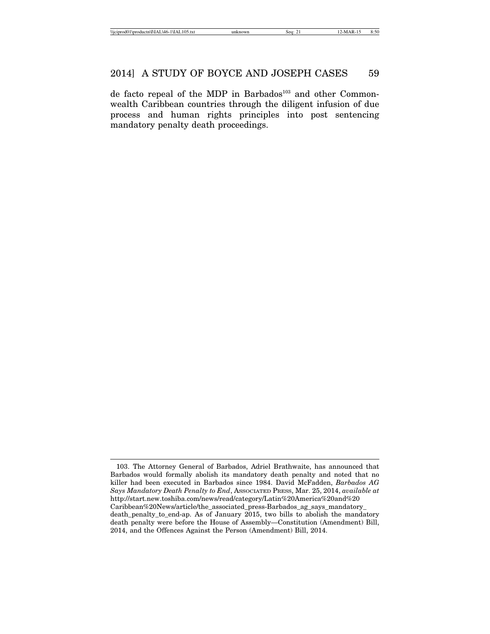de facto repeal of the MDP in Barbados<sup>103</sup> and other Commonwealth Caribbean countries through the diligent infusion of due process and human rights principles into post sentencing mandatory penalty death proceedings.

<sup>103.</sup> The Attorney General of Barbados, Adriel Brathwaite, has announced that Barbados would formally abolish its mandatory death penalty and noted that no killer had been executed in Barbados since 1984. David McFadden, *Barbados AG Says Mandatory Death Penalty to End*, ASSOCIATED PRESS, Mar. 25, 2014, *available at* http://start.new.toshiba.com/news/read/category/Latin%20America%20and%20 Caribbean%20News/article/the\_associated\_press-Barbados\_ag\_says\_mandatory\_ death\_penalty\_to\_end-ap. As of January 2015, two bills to abolish the mandatory death penalty were before the House of Assembly—Constitution (Amendment) Bill, 2014, and the Offences Against the Person (Amendment) Bill, 2014.